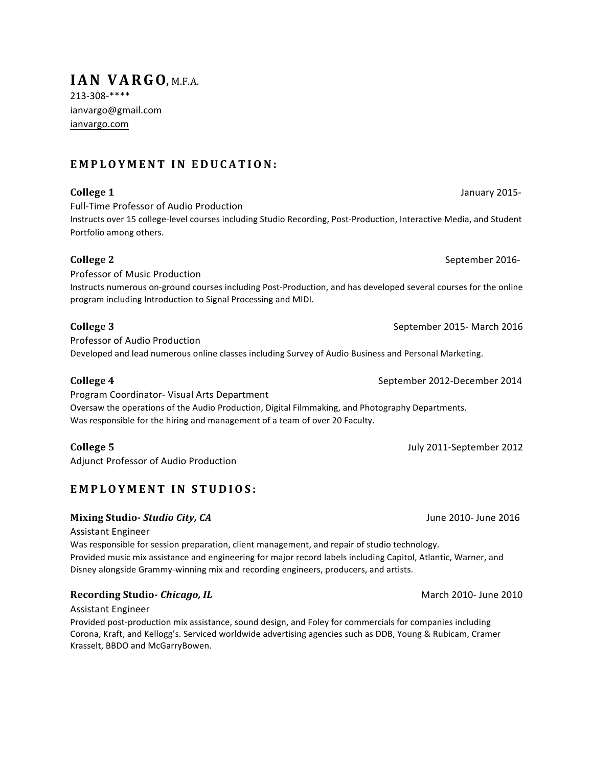# **EMPLOYMENT IN EDUCATION:**

## **College 1** Superintendent College 1 Superintendent College 1 Superintendent College 1 Superintendent College 1 Superintendent College 1 Superintendent College 1 Superintendent College 1 Superintendent College 1 Superinten

213-308-\*\*\*\*

ianvargo.com

ianvargo@gmail.com

Full-Time Professor of Audio Production

**IAN VARGO, M.F.A.** 

Instructs over 15 college-level courses including Studio Recording, Post-Production, Interactive Media, and Student Portfolio among others.

### **College 2** September 2016-

Professor of Music Production Instructs numerous on-ground courses including Post-Production, and has developed several courses for the online program including Introduction to Signal Processing and MIDI.

Professor of Audio Production Developed and lead numerous online classes including Survey of Audio Business and Personal Marketing.

Program Coordinator- Visual Arts Department Oversaw the operations of the Audio Production, Digital Filmmaking, and Photography Departments. Was responsible for the hiring and management of a team of over 20 Faculty.

Adjunct Professor of Audio Production

# **EMPLOYMENT IN STUDIOS:**

### **Mixing Studio- Studio City, CA** and the control of the control of the control of the control of the control of the control of the control of the control of the control of the control of the control of the control of the c

**Assistant Engineer** 

Was responsible for session preparation, client management, and repair of studio technology. Provided music mix assistance and engineering for major record labels including Capitol, Atlantic, Warner, and Disney alongside Grammy-winning mix and recording engineers, producers, and artists.

### **Recording Studio-** *Chicago, IL* March 2010- June 2010

Assistant Engineer

Provided post-production mix assistance, sound design, and Foley for commercials for companies including Corona, Kraft, and Kellogg's. Serviced worldwide advertising agencies such as DDB, Young & Rubicam, Cramer Krasselt, BBDO and McGarryBowen.

**College 4** September 2012-December 2014

**College 5** July 2011-September 2012

**College 3** September 2015- March 2016